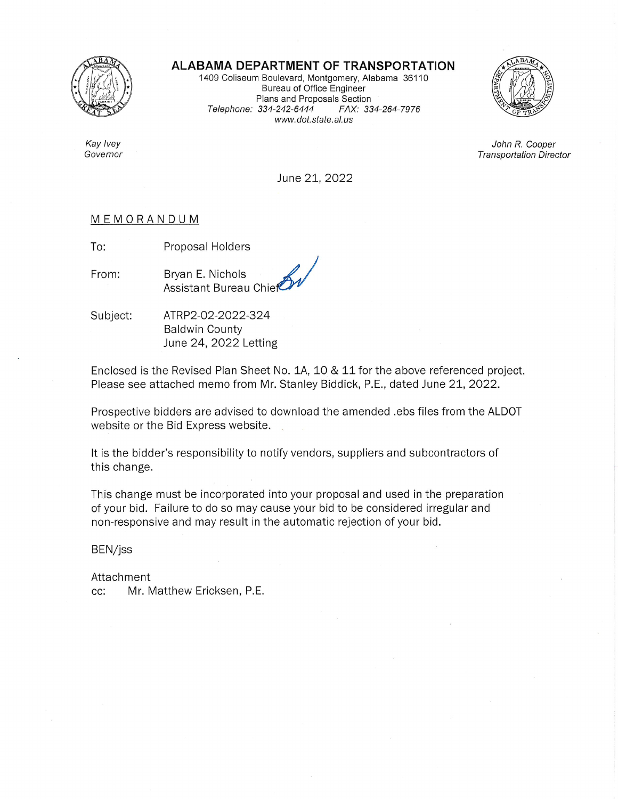

Kay Ivey

Governor

**ALABAMA DEPARTMENT OF TRANSPORTATION** 

1409 Coliseum Boulevard, Montgomery, Alabama 36110 Bureau of Office Engineer Plans and Proposals Section Telephone: 334-242-6444 FAX: 334-264-7976 www.dot.state.al.us



John R. Cooper **Transportation Director** 

June 21, 2022

## MEMORANDUM

To: Proposal Holders

From:

Bryan E. Nichols **Assistant Bureau Chief** 

Subject: ATRP2-02-2022-324 **Baldwin County** June 24, 2022 Letting

Enclosed is the Revised Plan Sheet No. 1A, 10 & 11 for the above referenced project. Please see attached memo from Mr. Stanley Biddick, P.E., dated June 21, 2022.

Prospective bidders are advised to download the amended .ebs files from the ALDOT website or the Bid Express website.

It is the bidder's responsibility to notify vendors, suppliers and subcontractors of this change.

This change must be incorporated into your proposal and used in the preparation of your bid. Failure to do so may cause your bid to be considered irregular and non-responsive and may result in the automatic rejection of your bid.

BEN/jss

Attachment Mr. Matthew Ericksen, P.E.  $cc:$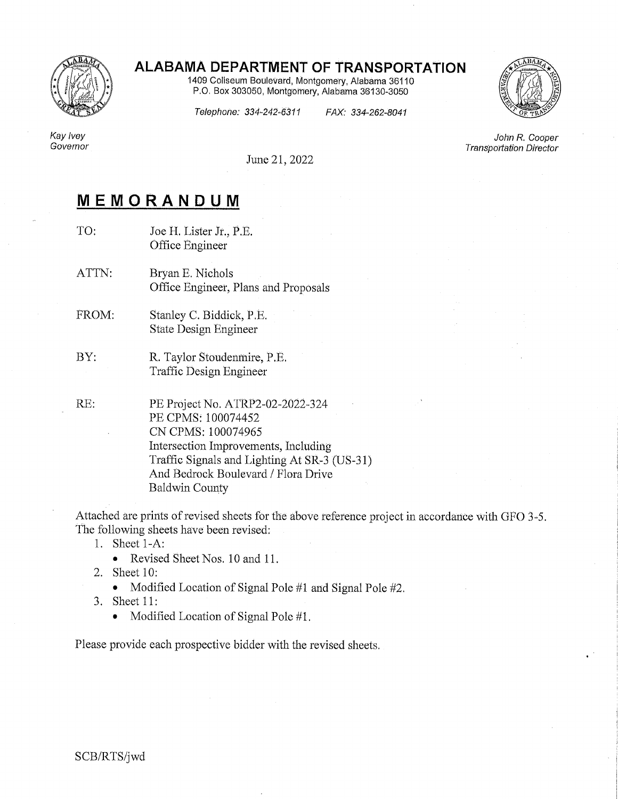

## ALABAMA DEPARTMENT OF TRANSPORTATION

1409 Coliseum Boulevard, Montgomery, Alabama 36110 P.O. Box 303050, Montgomery, Alabama 36130-3050



Telephone: 334-242-6311

FAX: 334-262-8041

Kay Ivey Governor

June 21, 2022

## MEMORANDUM

- TO: Joe H. Lister Jr., P.E. Office Engineer
- ATTN: Bryan E. Nichols Office Engineer, Plans and Proposals
- FROM: Stanley C. Biddick, P.E. **State Design Engineer**
- BY: R. Taylor Stoudenmire, P.E. Traffic Design Engineer

RE:

PE Project No. ATRP2-02-2022-324 PE CPMS: 100074452 CN CPMS: 100074965 Intersection Improvements, Including Traffic Signals and Lighting At SR-3 (US-31) And Bedrock Boulevard / Flora Drive **Baldwin County** 

Attached are prints of revised sheets for the above reference project in accordance with GFO 3-5. The following sheets have been revised:

- 1. Sheet 1-A:
	- Revised Sheet Nos. 10 and 11.  $\bullet$
- 2. Sheet 10:
	- Modified Location of Signal Pole #1 and Signal Pole #2.  $\bullet$
- 3. Sheet 11:
	- Modified Location of Signal Pole #1.  $\bullet$

Please provide each prospective bidder with the revised sheets.

John R. Cooper **Transportation Director**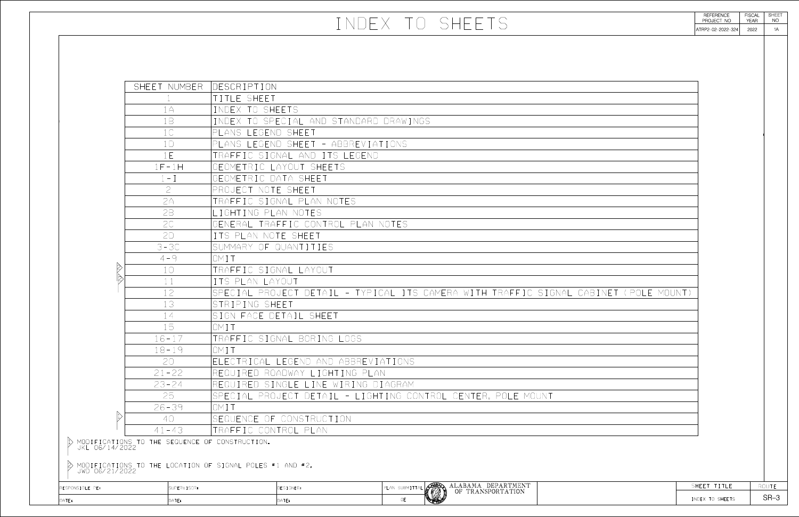|                | INDEX TO SHEETS                                                                                        | REFERENCE<br>PROJECT NO<br>ATRP2-02-2022-324 | <b>FISCAL</b><br><b>YEAR</b><br>2022 | <b>SHEET</b><br>NO<br>1A |
|----------------|--------------------------------------------------------------------------------------------------------|----------------------------------------------|--------------------------------------|--------------------------|
|                |                                                                                                        |                                              |                                      |                          |
|                |                                                                                                        |                                              |                                      |                          |
| MBER           | <b>IDESCRIPTION</b>                                                                                    |                                              |                                      |                          |
|                | TITLE SHEET<br>INDEX TO SHEETS.                                                                        |                                              |                                      |                          |
|                | INDEX TO SPECIAL AND STANDARD DRAWINGS                                                                 |                                              |                                      |                          |
|                | PLANS LEGEND SHEET<br>PLANS LEGEND SHEET - ABBREVIATIONS                                               |                                              |                                      |                          |
|                | TRAFFIC SIGNAL AND ITS LEGEND<br>GEOMETRIC LAYOUT SHEETS                                               |                                              |                                      |                          |
|                | GEOMETRIC DATA SHEET                                                                                   |                                              |                                      |                          |
|                | PROJECT NOTE SHEET<br>TRAFFIC SIGNAL PLAN NOTES                                                        |                                              |                                      |                          |
|                | LIGHTING PLAN NOTES<br>GENERAL TRAFFIC CONTROL PLAN NOTES                                              |                                              |                                      |                          |
|                | ITS PLAN NOTE SHEET                                                                                    |                                              |                                      |                          |
|                | SUMMARY OF QUANTITIES<br>OMTT                                                                          |                                              |                                      |                          |
|                | TRAFFIC SIGNAL LAYOUT<br>ITS PLAN LAYOUT                                                               |                                              |                                      |                          |
|                | SPECIAL PROJECT DETAIL - TYPICAL ITS CAMERA WITH TRAFFIC SIGNAL CABINET (POLE MOUNT)<br>STRIPING SHEET |                                              |                                      |                          |
|                | SIGN FACE DETAIL SHEET                                                                                 |                                              |                                      |                          |
|                | OMIT<br>TRAFFIC SIGNAL BORING LOGS                                                                     |                                              |                                      |                          |
|                | OMIT<br>ELECTRICAL LEGEND AND ABBREVIATIONS                                                            |                                              |                                      |                          |
|                | REQUIRED ROADWAY LIGHTING PLAN                                                                         |                                              |                                      |                          |
|                | REQUIRED SINGLE LINE WIRING DIAGRAM<br> SPECIAL PROJECT DETAIL - LIGHTING CONTROL CENTER, POLE MOUNT   |                                              |                                      |                          |
|                | IOMTT<br>SEQUENCE OF CONSTRUCTION                                                                      |                                              |                                      |                          |
|                | TRAFFIC CONTROL PLAN                                                                                   |                                              |                                      |                          |
|                | JENCE OF CONSTRUCTION.                                                                                 |                                              |                                      |                          |
|                | ATION OF SIGNAL POLES #1 and #2.                                                                       |                                              |                                      |                          |
| <b>RVISOR:</b> | ALABAMA DEPARTMENT<br>OF TRANSPORTATION<br>PLAN SUBMITTAL<br><b>DESIGNER:</b>                          | SHEET TITLE                                  |                                      | ROUTE<br>$SR-3$          |
|                | OE<br>DATE:                                                                                            | INDEX TO SHEETS                              |                                      |                          |

| <b>NER:</b> | SUBMITTAL<br>$\mathsf{Pl}$<br>.an. | <b>ALLAN</b><br>胤 | DEPARTMENT<br>ALABAMA<br>OF TRANSPORTATION |  |
|-------------|------------------------------------|-------------------|--------------------------------------------|--|
|             | 0E                                 | HE MARKET         |                                            |  |

| DATE:           | DATE:                                                                      | Date:                                                    | <b>OE</b>      |
|-----------------|----------------------------------------------------------------------------|----------------------------------------------------------|----------------|
| RESPONSIBLE PE: | SUPERVISOR:                                                                | DESIGNER:                                                | PLAN SUBMITTAL |
| JWD 06/21/2022  |                                                                            |                                                          |                |
|                 |                                                                            | MODIFICATIONS TO THE LOCATION OF SIGNAL POLES #1 AND #2. |                |
| JKL 06/14/2022  | MODIFICATIONS TO THE SEQUENCE OF CONSTRUCTION.                             |                                                          |                |
|                 | $41 - 43$                                                                  | TRAFFIC CONTROL PLAN                                     |                |
|                 | 4()                                                                        | SEQUENCE OF CONSTRUCTION                                 |                |
|                 | $26 - 39$                                                                  | OMIT                                                     |                |
|                 | 25                                                                         | SPECIAL PROJECT DETAIL - LIGHTING CONTROL                |                |
|                 | $23 - 24$                                                                  | REQUIRED SINGLE LINE WIRING DIAGRAM                      |                |
|                 | $21 - 22$                                                                  | REQUIRED ROADWAY LIGHTING PLAN                           |                |
|                 | 70                                                                         | ELECTRICAL LEGEND AND ABBREVIATIONS                      |                |
|                 | $18 - 19$                                                                  | OMI                                                      |                |
|                 | 15<br>$16 - 17$                                                            | OMTT<br>TRAFFIC SIGNAL BORING LOGS                       |                |
|                 | 14                                                                         | SIGN FACE DETAIL SHEET                                   |                |
|                 | 13                                                                         | STRIPING SHEET                                           |                |
|                 | 12                                                                         | SPECIAL PROJECT DETAIL - TYPICAL ITS CAME                |                |
|                 | 11                                                                         | ITS PLAN LAYOUT                                          |                |
|                 | $\bigcap$                                                                  | TRAFFIC SIGNAL LAYOUT                                    |                |
|                 | $4 - 9$                                                                    | OMTT                                                     |                |
|                 | $3 - 30$                                                                   | SUMMARY OF QUANTITIES                                    |                |
|                 | 2D                                                                         | ITS PLAN NOTE SHEET                                      |                |
|                 |                                                                            | GENERAL TRAFFIC CONTROL PLAN NOTES                       |                |
|                 | 2B                                                                         | LIGHTING PLAN NOTES                                      |                |
|                 | PA                                                                         | PROJECT NOTE SHEET<br>TRAFFIC SIGNAL PLAN NOTES          |                |
|                 | $\left( \begin{array}{c} \begin{array}{c} \end{array} \end{array} \right)$ | GEOMETRIC DATA SHEET                                     |                |
|                 | $1F-1H$                                                                    | GEOMETRIC LAYOUT SHEETS                                  |                |
|                 | 1F                                                                         | TRAFFIC SIGNAL AND ITS LEGEND                            |                |
|                 | $\left( \begin{array}{c} \begin{array}{c} \end{array} \end{array} \right)$ | PLANS LEGEND SHEET - ABBREVIATIONS                       |                |
|                 | $\int \int$                                                                | PLANS LEGEND SHEET                                       |                |
|                 | 1B                                                                         | INDEX TO SPECIAL AND STANDARD DRAWINGS                   |                |
|                 | 1A                                                                         | INDEX TO SHEETS                                          |                |
|                 |                                                                            | TITLE SHEET                                              |                |
|                 | SHEET NUMBER                                                               | DESCRIPTION                                              |                |
|                 |                                                                            |                                                          |                |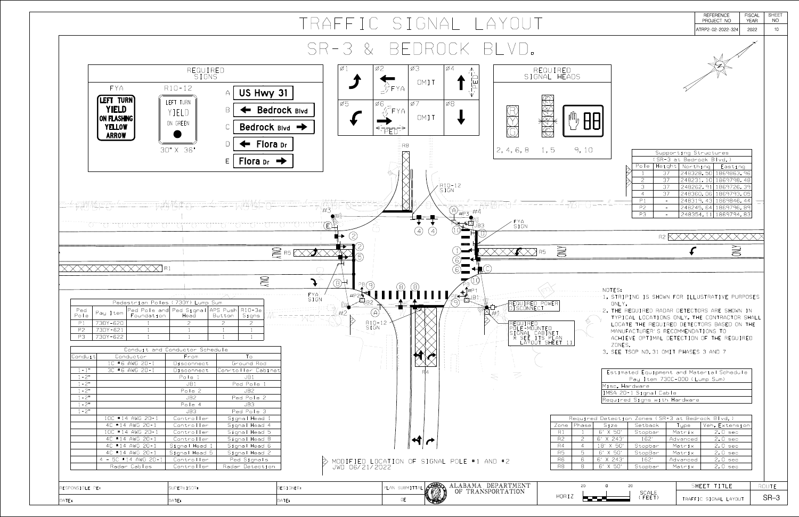| $Y$                                                                                                                     |                                                                                                                  |                                                                                                                                                        |                                                                                                                                                                                                                                                                                                                                                                                                      | <b>REFERENCE</b><br>PROJECT NO<br>ATRP2-02-2022-324                                        | <b>FISCAL</b><br><b>YEAR</b><br>2022 | <b>SHEET</b><br>NO<br>10 |
|-------------------------------------------------------------------------------------------------------------------------|------------------------------------------------------------------------------------------------------------------|--------------------------------------------------------------------------------------------------------------------------------------------------------|------------------------------------------------------------------------------------------------------------------------------------------------------------------------------------------------------------------------------------------------------------------------------------------------------------------------------------------------------------------------------------------------------|--------------------------------------------------------------------------------------------|--------------------------------------|--------------------------|
|                                                                                                                         |                                                                                                                  |                                                                                                                                                        |                                                                                                                                                                                                                                                                                                                                                                                                      |                                                                                            |                                      |                          |
| 4<br>$\bigwedge$                                                                                                        | REQUIRED<br>SIGNAL HEADS                                                                                         |                                                                                                                                                        |                                                                                                                                                                                                                                                                                                                                                                                                      |                                                                                            |                                      |                          |
| $\overline{8}$                                                                                                          |                                                                                                                  |                                                                                                                                                        |                                                                                                                                                                                                                                                                                                                                                                                                      |                                                                                            |                                      |                          |
| $2, 4, 6, 8$ 1, 5                                                                                                       | 9,10                                                                                                             | Pole                                                                                                                                                   | Supporting Structures<br>SR-3 at Bedrock Blvd.)<br>Height<br>Northing                                                                                                                                                                                                                                                                                                                                | Easting                                                                                    |                                      |                          |
| ) – 1 2<br>;N                                                                                                           |                                                                                                                  | $\mathcal{Z}$<br>3<br>$\overline{4}$<br>P1                                                                                                             | 248328.50 1869863.96<br>37<br>248231.10 1869798.48<br>37<br>248262.91 1869726.39<br>37<br>37<br>248360.06 1869793.05<br>248319.43 1869846.44<br>$\overline{\phantom{0}}$                                                                                                                                                                                                                             |                                                                                            |                                      |                          |
| $v_{\#P3}$ #4<br>FYA<br>SIGN<br>JB3                                                                                     |                                                                                                                  | P <sub>2</sub><br>P3                                                                                                                                   | 248245.64 1869796.89<br>$\overline{\phantom{0}}$<br>248354.11   1869794.83<br>$-$ .                                                                                                                                                                                                                                                                                                                  |                                                                                            |                                      |                          |
|                                                                                                                         |                                                                                                                  |                                                                                                                                                        | R <sub>2</sub>                                                                                                                                                                                                                                                                                                                                                                                       |                                                                                            |                                      |                          |
| R5<br>6                                                                                                                 | ONLY                                                                                                             |                                                                                                                                                        |                                                                                                                                                                                                                                                                                                                                                                                                      | ONLY                                                                                       |                                      |                          |
| $\mathbb{T}$ #P 1<br>B1<br>REQUIRED POWER<br>DISCONNECT<br>REQUIRED<br>F-MOUNTED<br>I AYOUT<br>$\overline{\mathcal{L}}$ | 's plan<br>SHEET                                                                                                 | NOTES:<br>ONLY.<br>ZONES.<br>Misc. Hardware                                                                                                            | 1. STRIPING IS SHOWN FOR ILLUSTRATIVE PURPOSES<br>2. THE REQUIRED RADAR DETECTORS ARE SHOWN IN<br>TYPICAL LOCATIONS ONLY. THE CONTRACTOR SHALL<br>LOCATE THE REQUIRED DETECTORS BASED ON THE<br>MANUFACTURER'S RECOMMENDATIONS TO<br>ACHIEVE OPTIMAL DETECTION OF THE REQUIRED<br>3. SEE TSOP NO.31 OMIT PHASES 3 AND 7<br>Estimated Equipment and Material Schedule<br>Pay Item 730C-000 (Lump Sum) |                                                                                            |                                      |                          |
|                                                                                                                         |                                                                                                                  | IMSA 20-1 Signal Cable<br>Required Signs with Hardware                                                                                                 |                                                                                                                                                                                                                                                                                                                                                                                                      |                                                                                            |                                      |                          |
| POLE #1 AND #2                                                                                                          | Phase<br>Zone<br>R1<br>$\overline{2}$<br>R <sub>2</sub><br>R4<br>$\overline{4}$<br>5<br>R5<br>6<br>R6<br>8<br>R8 | Size<br>Setback<br>6' X 50'<br>Stopbar<br>6' X 243'<br>162'<br>18′ X 50′<br>Stopbar<br>6' X 50'<br>StopBar<br>6' X 243'<br>162'<br>6' X 50'<br>Stopbar | Required Detection Zones (SR-3 at Bedrock Blvd.)<br>Type<br>Matrix<br>Advanced<br>Matrix<br>Matrix<br>Advanced<br>Matrix                                                                                                                                                                                                                                                                             | Veh. Extension<br>$2.0$ sec<br>$2.0$ sec<br>$2.0$ sec<br>2.0 sec<br>$2.0$ sec<br>$2.0$ sec |                                      |                          |
| ALABAMA DEPARTMENT<br>OF TRANSPORTATION                                                                                 | 20<br>$\mathbb O$<br>HORIZ                                                                                       | 20<br><b>SCALE</b><br>(FEET)                                                                                                                           | SHEET TITLE<br>TRAFFIC SIGNAL LAYOUT                                                                                                                                                                                                                                                                                                                                                                 |                                                                                            |                                      | <b>ROUTE</b><br>$SR-3$   |

|                                        |                                                                                  |                                                                                                                                                                                                                                                                                                                                                                                                  |                                                                                                                                                                                                                                                                                                                                                                                                                                                                                                                                                                                            | $\begin{tabular}{c} \multicolumn{1}{c }{\textbf{\textcolor{blue}{\bf\textcolor{blue}{\bf\textcolor{blue}{\bf\textcolor{blue}{\bf\textcolor{blue}{\bf\textcolor{blue}{\bf\textcolor{blue}{\bf\textcolor{blue}{\bf\textcolor{blue}{\bf\textcolor{blue}{\bf\textcolor{blue}{\bf\textcolor{blue}{\bf\textcolor{blue}{\bf\textcolor{blue}{\bf\textcolor{blue}{\bf\textcolor{blue}{\bf\textcolor{blue}{\bf\textcolor{blue}{\bf\textcolor{blue}{\bf\textcolor{blue}{\bf\textcolor{blue}{\bf\textcolor{blue}{\bf\textcolor{blue}{\bf\textcolor{blue}{\bf\textcolor{blue}{\$ |                                                                                                                     |
|----------------------------------------|----------------------------------------------------------------------------------|--------------------------------------------------------------------------------------------------------------------------------------------------------------------------------------------------------------------------------------------------------------------------------------------------------------------------------------------------------------------------------------------------|--------------------------------------------------------------------------------------------------------------------------------------------------------------------------------------------------------------------------------------------------------------------------------------------------------------------------------------------------------------------------------------------------------------------------------------------------------------------------------------------------------------------------------------------------------------------------------------------|---------------------------------------------------------------------------------------------------------------------------------------------------------------------------------------------------------------------------------------------------------------------------------------------------------------------------------------------------------------------------------------------------------------------------------------------------------------------------------------------------------------------------------------------------------------------|---------------------------------------------------------------------------------------------------------------------|
|                                        |                                                                                  |                                                                                                                                                                                                                                                                                                                                                                                                  | $\begin{array}{c} \begin{array}{c} \diagup \\ \diagdown \end{array} & \begin{array}{c} \diagup \\ \diagdown \end{array} & \begin{array}{c} \diagup \\ \diagdown \end{array} & \begin{array}{c} \diagdown \\ \end{array} & \begin{array}{c} \diagdown \\ \end{array} & \begin{array}{c} \diagdown \\ \end{array} & \begin{array}{c} \diagdown \\ \end{array} & \begin{array}{c} \diagdown \\ \end{array} & \begin{array}{c} \diagdown \\ \end{array} & \begin{array}{c} \diagdown \\ \end{array} & \begin{array}{c} \diagdown \\ \end{array} & \begin{array}{c} \diagdown \\ \end{array} &$ |                                                                                                                                                                                                                                                                                                                                                                                                                                                                                                                                                                     |                                                                                                                     |
|                                        | REQUIRED<br>SIGNS                                                                |                                                                                                                                                                                                                                                                                                                                                                                                  |                                                                                                                                                                                                                                                                                                                                                                                                                                                                                                                                                                                            | $\varnothing$ ]                                                                                                                                                                                                                                                                                                                                                                                                                                                                                                                                                     | Ø3<br>Ø2                                                                                                            |
| FYA                                    | $R10 - 12$                                                                       | US Hwy 31<br>$\triangle$                                                                                                                                                                                                                                                                                                                                                                         |                                                                                                                                                                                                                                                                                                                                                                                                                                                                                                                                                                                            |                                                                                                                                                                                                                                                                                                                                                                                                                                                                                                                                                                     | OMIT                                                                                                                |
| LEFT TURN<br><b>YIELD</b>              | LEFT TURN<br>YIFIU                                                               | $\Box$                                                                                                                                                                                                                                                                                                                                                                                           | <b>Bedrock Blvd</b>                                                                                                                                                                                                                                                                                                                                                                                                                                                                                                                                                                        | $\emptyset5$                                                                                                                                                                                                                                                                                                                                                                                                                                                                                                                                                        | $\emptyset$ 6<br>$\varnothing$<br>ΈΥΑ                                                                               |
| <b>ON FLASHING</b><br><b>YELLOW</b>    | ON GREEN                                                                         | Bedrock Blvd →                                                                                                                                                                                                                                                                                                                                                                                   |                                                                                                                                                                                                                                                                                                                                                                                                                                                                                                                                                                                            |                                                                                                                                                                                                                                                                                                                                                                                                                                                                                                                                                                     | OMIT                                                                                                                |
| <b>ARROW</b>                           | 30" X 36"                                                                        | Flora Dr                                                                                                                                                                                                                                                                                                                                                                                         |                                                                                                                                                                                                                                                                                                                                                                                                                                                                                                                                                                                            |                                                                                                                                                                                                                                                                                                                                                                                                                                                                                                                                                                     | 1.1.1<br>$\pm 11.1$<br>$+11$<br>$H \to \mathsf{R}$<br>$+0.1$<br>      <br>$\  \cdot \ $                             |
|                                        |                                                                                  | Flora Dr                                                                                                                                                                                                                                                                                                                                                                                         |                                                                                                                                                                                                                                                                                                                                                                                                                                                                                                                                                                                            |                                                                                                                                                                                                                                                                                                                                                                                                                                                                                                                                                                     | $\parallel \ \parallel \ \parallel$<br>1111<br>$1 \, \text{II} \, 1$<br>$\ \cdot\ $ .<br>1111<br>$+11$<br>$\pm 0.1$ |
|                                        |                                                                                  |                                                                                                                                                                                                                                                                                                                                                                                                  |                                                                                                                                                                                                                                                                                                                                                                                                                                                                                                                                                                                            |                                                                                                                                                                                                                                                                                                                                                                                                                                                                                                                                                                     |                                                                                                                     |
|                                        |                                                                                  |                                                                                                                                                                                                                                                                                                                                                                                                  |                                                                                                                                                                                                                                                                                                                                                                                                                                                                                                                                                                                            |                                                                                                                                                                                                                                                                                                                                                                                                                                                                                                                                                                     |                                                                                                                     |
|                                        |                                                                                  |                                                                                                                                                                                                                                                                                                                                                                                                  |                                                                                                                                                                                                                                                                                                                                                                                                                                                                                                                                                                                            |                                                                                                                                                                                                                                                                                                                                                                                                                                                                                                                                                                     |                                                                                                                     |
|                                        |                                                                                  | $\begin{pmatrix} 1 & 1 & 1 \\ 1 & 1 & 1 \\ 1 & 1 & 1 \end{pmatrix} = \begin{pmatrix} 1 & 1 & 1 \\ 1 & 1 & 1 \\ 1 & 1 & 1 \end{pmatrix} = \begin{pmatrix} 1 & 1 & 1 \\ 1 & 1 & 1 \\ 1 & 1 & 1 \end{pmatrix} = \begin{pmatrix} 1 & 1 & 1 \\ 1 & 1 & 1 \\ 1 & 1 & 1 \end{pmatrix} = \begin{pmatrix} 1 & 1 & 1 \\ 1 & 1 & 1 \\ 1 & 1 & 1 \end{pmatrix} = \begin{pmatrix} 1 & 1 & 1 \\ 1 & 1 & 1 \\ $ |                                                                                                                                                                                                                                                                                                                                                                                                                                                                                                                                                                                            |                                                                                                                                                                                                                                                                                                                                                                                                                                                                                                                                                                     |                                                                                                                     |
|                                        |                                                                                  |                                                                                                                                                                                                                                                                                                                                                                                                  | $\geq$ R5                                                                                                                                                                                                                                                                                                                                                                                                                                                                                                                                                                                  |                                                                                                                                                                                                                                                                                                                                                                                                                                                                                                                                                                     |                                                                                                                     |
|                                        |                                                                                  |                                                                                                                                                                                                                                                                                                                                                                                                  |                                                                                                                                                                                                                                                                                                                                                                                                                                                                                                                                                                                            |                                                                                                                                                                                                                                                                                                                                                                                                                                                                                                                                                                     |                                                                                                                     |
|                                        |                                                                                  | ONLY                                                                                                                                                                                                                                                                                                                                                                                             |                                                                                                                                                                                                                                                                                                                                                                                                                                                                                                                                                                                            |                                                                                                                                                                                                                                                                                                                                                                                                                                                                                                                                                                     |                                                                                                                     |
|                                        |                                                                                  |                                                                                                                                                                                                                                                                                                                                                                                                  |                                                                                                                                                                                                                                                                                                                                                                                                                                                                                                                                                                                            |                                                                                                                                                                                                                                                                                                                                                                                                                                                                                                                                                                     |                                                                                                                     |
|                                        | Pedestrian Poles (730Y) Lump Sum                                                 |                                                                                                                                                                                                                                                                                                                                                                                                  | SIGN                                                                                                                                                                                                                                                                                                                                                                                                                                                                                                                                                                                       |                                                                                                                                                                                                                                                                                                                                                                                                                                                                                                                                                                     |                                                                                                                     |
| Ped<br>Pole                            | Pay Item Ped Pole and Ped Signal APS Push R10-3e<br>Foundation Head Button Signs |                                                                                                                                                                                                                                                                                                                                                                                                  | TAUL                                                                                                                                                                                                                                                                                                                                                                                                                                                                                                                                                                                       | $\searrow$                                                                                                                                                                                                                                                                                                                                                                                                                                                                                                                                                          |                                                                                                                     |
| P1<br>730Y-620<br>P2<br>730Y-621       | $\mathcal{Z}^-$                                                                  | $\mathcal{Z}$<br>$\mathcal{Z}$                                                                                                                                                                                                                                                                                                                                                                   |                                                                                                                                                                                                                                                                                                                                                                                                                                                                                                                                                                                            |                                                                                                                                                                                                                                                                                                                                                                                                                                                                                                                                                                     | R10-12<br>SIGN                                                                                                      |
| P3<br>730Y-622                         |                                                                                  |                                                                                                                                                                                                                                                                                                                                                                                                  |                                                                                                                                                                                                                                                                                                                                                                                                                                                                                                                                                                                            |                                                                                                                                                                                                                                                                                                                                                                                                                                                                                                                                                                     |                                                                                                                     |
|                                        | Conduit and Conductor Schedule                                                   |                                                                                                                                                                                                                                                                                                                                                                                                  |                                                                                                                                                                                                                                                                                                                                                                                                                                                                                                                                                                                            |                                                                                                                                                                                                                                                                                                                                                                                                                                                                                                                                                                     |                                                                                                                     |
| Conduit<br>Conductor<br>1C #6 AWG 20-1 | From<br>Disconnect                                                               | To<br>Ground Rod                                                                                                                                                                                                                                                                                                                                                                                 |                                                                                                                                                                                                                                                                                                                                                                                                                                                                                                                                                                                            |                                                                                                                                                                                                                                                                                                                                                                                                                                                                                                                                                                     | $\begin{array}{c ccccc} & & & 1 & & 1 \\ \hline & & 1 & & 1 \\ \hline \\ I & & 1 & & 1 \\ \end{array}$              |
| $1 - 1$ "<br>3C #6 AWG 20-1            | Disconnect                                                                       | Conrtoller Cabinet                                                                                                                                                                                                                                                                                                                                                                               |                                                                                                                                                                                                                                                                                                                                                                                                                                                                                                                                                                                            |                                                                                                                                                                                                                                                                                                                                                                                                                                                                                                                                                                     |                                                                                                                     |
| $1 - 2^{\circ}$<br>$1 - 2$ "           | Pole 1                                                                           | JB1                                                                                                                                                                                                                                                                                                                                                                                              |                                                                                                                                                                                                                                                                                                                                                                                                                                                                                                                                                                                            |                                                                                                                                                                                                                                                                                                                                                                                                                                                                                                                                                                     |                                                                                                                     |
| $1 - 2^{n}$                            | JB1<br>Pole 2                                                                    | Ped Pole 1<br>JB2                                                                                                                                                                                                                                                                                                                                                                                |                                                                                                                                                                                                                                                                                                                                                                                                                                                                                                                                                                                            |                                                                                                                                                                                                                                                                                                                                                                                                                                                                                                                                                                     |                                                                                                                     |
| $1 - 2^{n}$                            | JB2                                                                              | Ped Pole 2                                                                                                                                                                                                                                                                                                                                                                                       |                                                                                                                                                                                                                                                                                                                                                                                                                                                                                                                                                                                            |                                                                                                                                                                                                                                                                                                                                                                                                                                                                                                                                                                     |                                                                                                                     |
| $1 - 2^{\circ}$                        | Pole 4                                                                           | JB3                                                                                                                                                                                                                                                                                                                                                                                              |                                                                                                                                                                                                                                                                                                                                                                                                                                                                                                                                                                                            |                                                                                                                                                                                                                                                                                                                                                                                                                                                                                                                                                                     |                                                                                                                     |
| $1 - 2^{\circ}$<br>10C #14 AWG 20-1    | JB3<br>Controller                                                                | Ped Pole 3<br>Signal Head 1                                                                                                                                                                                                                                                                                                                                                                      |                                                                                                                                                                                                                                                                                                                                                                                                                                                                                                                                                                                            |                                                                                                                                                                                                                                                                                                                                                                                                                                                                                                                                                                     |                                                                                                                     |
| 4C #14 AWG 20-1                        | Controller                                                                       | Signal Head 4                                                                                                                                                                                                                                                                                                                                                                                    |                                                                                                                                                                                                                                                                                                                                                                                                                                                                                                                                                                                            |                                                                                                                                                                                                                                                                                                                                                                                                                                                                                                                                                                     |                                                                                                                     |
| 10C #14 AWG 20-1                       | Controller                                                                       | Signal Head 5                                                                                                                                                                                                                                                                                                                                                                                    |                                                                                                                                                                                                                                                                                                                                                                                                                                                                                                                                                                                            |                                                                                                                                                                                                                                                                                                                                                                                                                                                                                                                                                                     |                                                                                                                     |
| 4C #14 AWG 20-1<br>4C #14 AWG 20-1     | Controller<br>Signal Head 1                                                      | Signal Head 8<br>Signal Head 6                                                                                                                                                                                                                                                                                                                                                                   |                                                                                                                                                                                                                                                                                                                                                                                                                                                                                                                                                                                            |                                                                                                                                                                                                                                                                                                                                                                                                                                                                                                                                                                     |                                                                                                                     |
| 4C #14 AWG 20-1                        | Signal Head 5                                                                    | Signal Head 2                                                                                                                                                                                                                                                                                                                                                                                    |                                                                                                                                                                                                                                                                                                                                                                                                                                                                                                                                                                                            |                                                                                                                                                                                                                                                                                                                                                                                                                                                                                                                                                                     |                                                                                                                     |
| $4 - 5C$ #14 AWG 20-1                  | Controller                                                                       | Ped Signals                                                                                                                                                                                                                                                                                                                                                                                      |                                                                                                                                                                                                                                                                                                                                                                                                                                                                                                                                                                                            |                                                                                                                                                                                                                                                                                                                                                                                                                                                                                                                                                                     | A MODIFIED LOCATION OF SIGNAL<br>VWD 06/21/2022                                                                     |
| Radar Cables                           | Controller                                                                       | Radar Detection                                                                                                                                                                                                                                                                                                                                                                                  |                                                                                                                                                                                                                                                                                                                                                                                                                                                                                                                                                                                            |                                                                                                                                                                                                                                                                                                                                                                                                                                                                                                                                                                     |                                                                                                                     |
|                                        |                                                                                  |                                                                                                                                                                                                                                                                                                                                                                                                  |                                                                                                                                                                                                                                                                                                                                                                                                                                                                                                                                                                                            |                                                                                                                                                                                                                                                                                                                                                                                                                                                                                                                                                                     |                                                                                                                     |
| RESPONSIBLE PE:                        | SUPERVISOR:                                                                      |                                                                                                                                                                                                                                                                                                                                                                                                  | DESIGNER:                                                                                                                                                                                                                                                                                                                                                                                                                                                                                                                                                                                  |                                                                                                                                                                                                                                                                                                                                                                                                                                                                                                                                                                     | PLAN SUBMITTAL                                                                                                      |
| DATE:                                  | DATE:                                                                            |                                                                                                                                                                                                                                                                                                                                                                                                  | DATE:                                                                                                                                                                                                                                                                                                                                                                                                                                                                                                                                                                                      |                                                                                                                                                                                                                                                                                                                                                                                                                                                                                                                                                                     | OE                                                                                                                  |